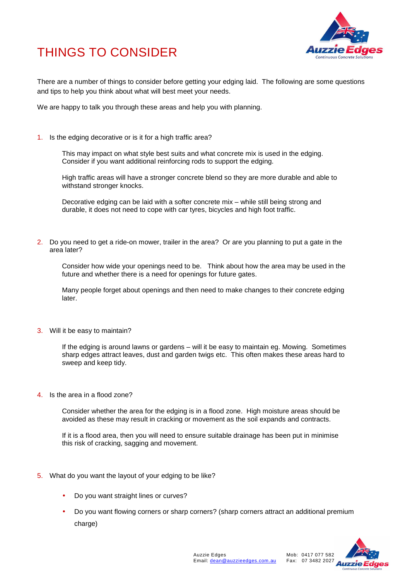



There are a number of things to consider before getting your edging laid. The following are some questions and tips to help you think about what will best meet your needs.

We are happy to talk you through these areas and help you with planning.

1. Is the edging decorative or is it for a high traffic area?

This may impact on what style best suits and what concrete mix is used in the edging. Consider if you want additional reinforcing rods to support the edging.

High traffic areas will have a stronger concrete blend so they are more durable and able to withstand stronger knocks.

Decorative edging can be laid with a softer concrete mix – while still being strong and durable, it does not need to cope with car tyres, bicycles and high foot traffic.

2. Do you need to get a ride-on mower, trailer in the area? Or are you planning to put a gate in the area later?

Consider how wide your openings need to be. Think about how the area may be used in the future and whether there is a need for openings for future gates.

Many people forget about openings and then need to make changes to their concrete edging later.

3. Will it be easy to maintain?

If the edging is around lawns or gardens – will it be easy to maintain eg. Mowing. Sometimes sharp edges attract leaves, dust and garden twigs etc. This often makes these areas hard to sweep and keep tidy.

4. Is the area in a flood zone?

Consider whether the area for the edging is in a flood zone. High moisture areas should be avoided as these may result in cracking or movement as the soil expands and contracts.

If it is a flood area, then you will need to ensure suitable drainage has been put in minimise this risk of cracking, sagging and movement.

- 5. What do you want the layout of your edging to be like?
	- Do you want straight lines or curves?
	- Do you want flowing corners or sharp corners? (sharp corners attract an additional premium charge)